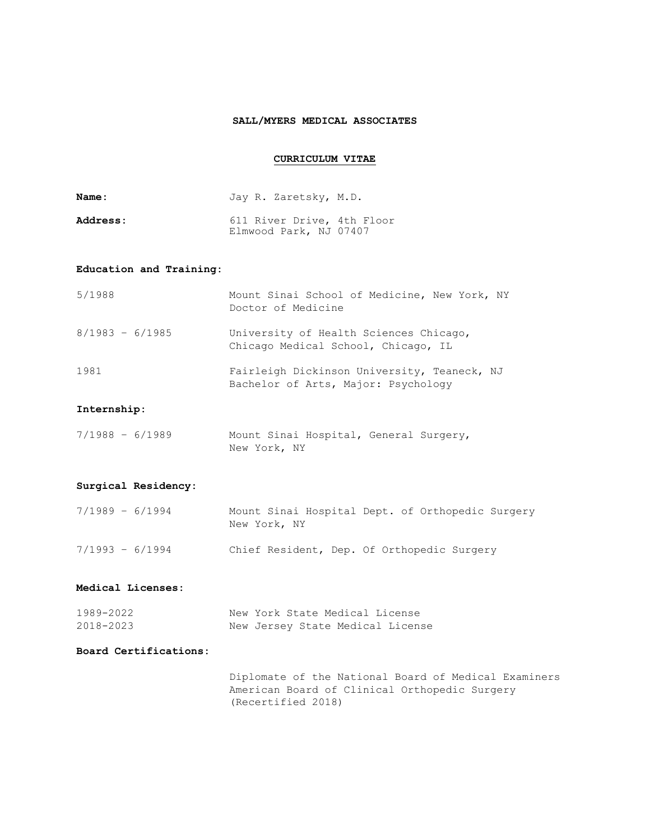## **SALL/MYERS MEDICAL ASSOCIATES**

# **CURRICULUM VITAE**

| <b>Name :</b>   | Jay R. Zaretsky, M.D.                                |
|-----------------|------------------------------------------------------|
| <b>Address:</b> | 611 River Drive, 4th Floor<br>Elmwood Park, NJ 07407 |

## **Education and Training:**

| 5/1988            | Mount Sinai School of Medicine, New York, NY<br>Doctor of Medicine                 |
|-------------------|------------------------------------------------------------------------------------|
| $8/1983 - 6/1985$ | University of Health Sciences Chicago,<br>Chicago Medical School, Chicago, IL      |
| 1981              | Fairleigh Dickinson University, Teaneck, NJ<br>Bachelor of Arts, Major: Psychology |

## **Internship:**

| $7/1988 - 6/1989$ | Mount Sinai Hospital, General Surgery, |  |
|-------------------|----------------------------------------|--|
|                   | New York, NY                           |  |

## **Surgical Residency:**

| $7/1989 - 6/1994$ | Mount Sinai Hospital Dept. of Orthopedic Surgery<br>New York, NY |  |
|-------------------|------------------------------------------------------------------|--|
| $7/1993 - 6/1994$ | Chief Resident, Dep. Of Orthopedic Surgery                       |  |

#### **Medical Licenses:**

| 1989-2022 |  |  | New York State Medical License   |
|-----------|--|--|----------------------------------|
| 2018-2023 |  |  | New Jersey State Medical License |

## **Board Certifications:**

Diplomate of the National Board of Medical Examiners American Board of Clinical Orthopedic Surgery (Recertified 2018)